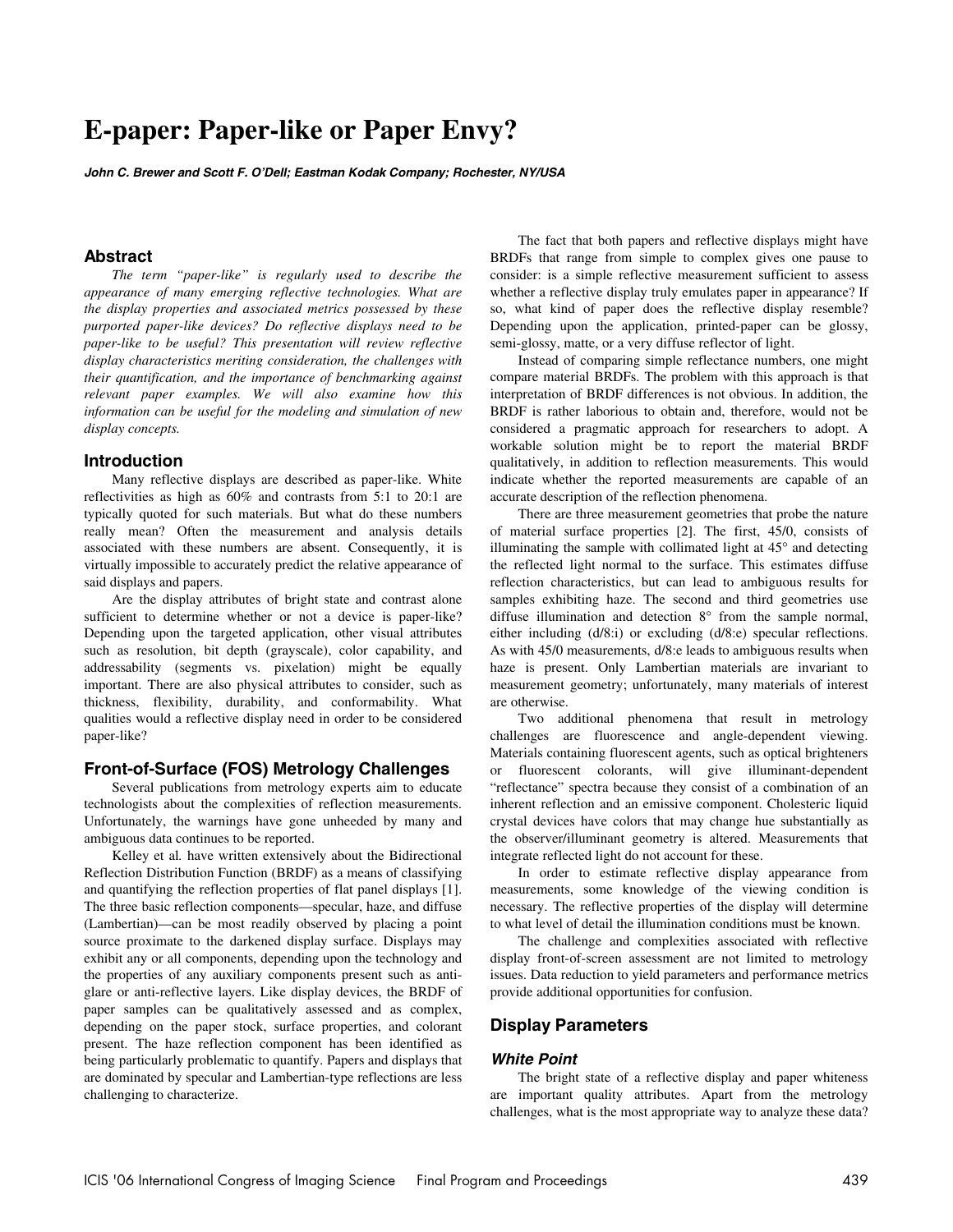# **E-paper: Paper-like or Paper Envy?**

**John C. Brewer and Scott F. O'Dell; Eastman Kodak Company; Rochester, NY/USA** 

# **Abstract**

*The term "paper-like" is regularly used to describe the appearance of many emerging reflective technologies. What are the display properties and associated metrics possessed by these purported paper-like devices? Do reflective displays need to be paper-like to be useful? This presentation will review reflective display characteristics meriting consideration, the challenges with their quantification, and the importance of benchmarking against relevant paper examples. We will also examine how this information can be useful for the modeling and simulation of new display concepts.* 

#### **Introduction**

Many reflective displays are described as paper-like. White reflectivities as high as 60% and contrasts from 5:1 to 20:1 are typically quoted for such materials. But what do these numbers really mean? Often the measurement and analysis details associated with these numbers are absent. Consequently, it is virtually impossible to accurately predict the relative appearance of said displays and papers.

Are the display attributes of bright state and contrast alone sufficient to determine whether or not a device is paper-like? Depending upon the targeted application, other visual attributes such as resolution, bit depth (grayscale), color capability, and addressability (segments vs. pixelation) might be equally important. There are also physical attributes to consider, such as thickness, flexibility, durability, and conformability. What qualities would a reflective display need in order to be considered paper-like?

#### **Front-of-Surface (FOS) Metrology Challenges**

Several publications from metrology experts aim to educate technologists about the complexities of reflection measurements. Unfortunately, the warnings have gone unheeded by many and ambiguous data continues to be reported.

Kelley et al*.* have written extensively about the Bidirectional Reflection Distribution Function (BRDF) as a means of classifying and quantifying the reflection properties of flat panel displays [1]. The three basic reflection components—specular, haze, and diffuse (Lambertian)—can be most readily observed by placing a point source proximate to the darkened display surface. Displays may exhibit any or all components, depending upon the technology and the properties of any auxiliary components present such as antiglare or anti-reflective layers. Like display devices, the BRDF of paper samples can be qualitatively assessed and as complex, depending on the paper stock, surface properties, and colorant present. The haze reflection component has been identified as being particularly problematic to quantify. Papers and displays that are dominated by specular and Lambertian-type reflections are less challenging to characterize.

The fact that both papers and reflective displays might have BRDFs that range from simple to complex gives one pause to consider: is a simple reflective measurement sufficient to assess whether a reflective display truly emulates paper in appearance? If so, what kind of paper does the reflective display resemble? Depending upon the application, printed-paper can be glossy, semi-glossy, matte, or a very diffuse reflector of light.

Instead of comparing simple reflectance numbers, one might compare material BRDFs. The problem with this approach is that interpretation of BRDF differences is not obvious. In addition, the BRDF is rather laborious to obtain and, therefore, would not be considered a pragmatic approach for researchers to adopt. A workable solution might be to report the material BRDF qualitatively, in addition to reflection measurements. This would indicate whether the reported measurements are capable of an accurate description of the reflection phenomena.

There are three measurement geometries that probe the nature of material surface properties [2]. The first, 45/0, consists of illuminating the sample with collimated light at 45° and detecting the reflected light normal to the surface. This estimates diffuse reflection characteristics, but can lead to ambiguous results for samples exhibiting haze. The second and third geometries use diffuse illumination and detection 8° from the sample normal, either including (d/8:i) or excluding (d/8:e) specular reflections. As with 45/0 measurements, d/8:e leads to ambiguous results when haze is present. Only Lambertian materials are invariant to measurement geometry; unfortunately, many materials of interest are otherwise.

Two additional phenomena that result in metrology challenges are fluorescence and angle-dependent viewing. Materials containing fluorescent agents, such as optical brighteners or fluorescent colorants, will give illuminant-dependent "reflectance" spectra because they consist of a combination of an inherent reflection and an emissive component. Cholesteric liquid crystal devices have colors that may change hue substantially as the observer/illuminant geometry is altered. Measurements that integrate reflected light do not account for these.

In order to estimate reflective display appearance from measurements, some knowledge of the viewing condition is necessary. The reflective properties of the display will determine to what level of detail the illumination conditions must be known.

The challenge and complexities associated with reflective display front-of-screen assessment are not limited to metrology issues. Data reduction to yield parameters and performance metrics provide additional opportunities for confusion.

# **Display Parameters**

#### **White Point**

The bright state of a reflective display and paper whiteness are important quality attributes. Apart from the metrology challenges, what is the most appropriate way to analyze these data?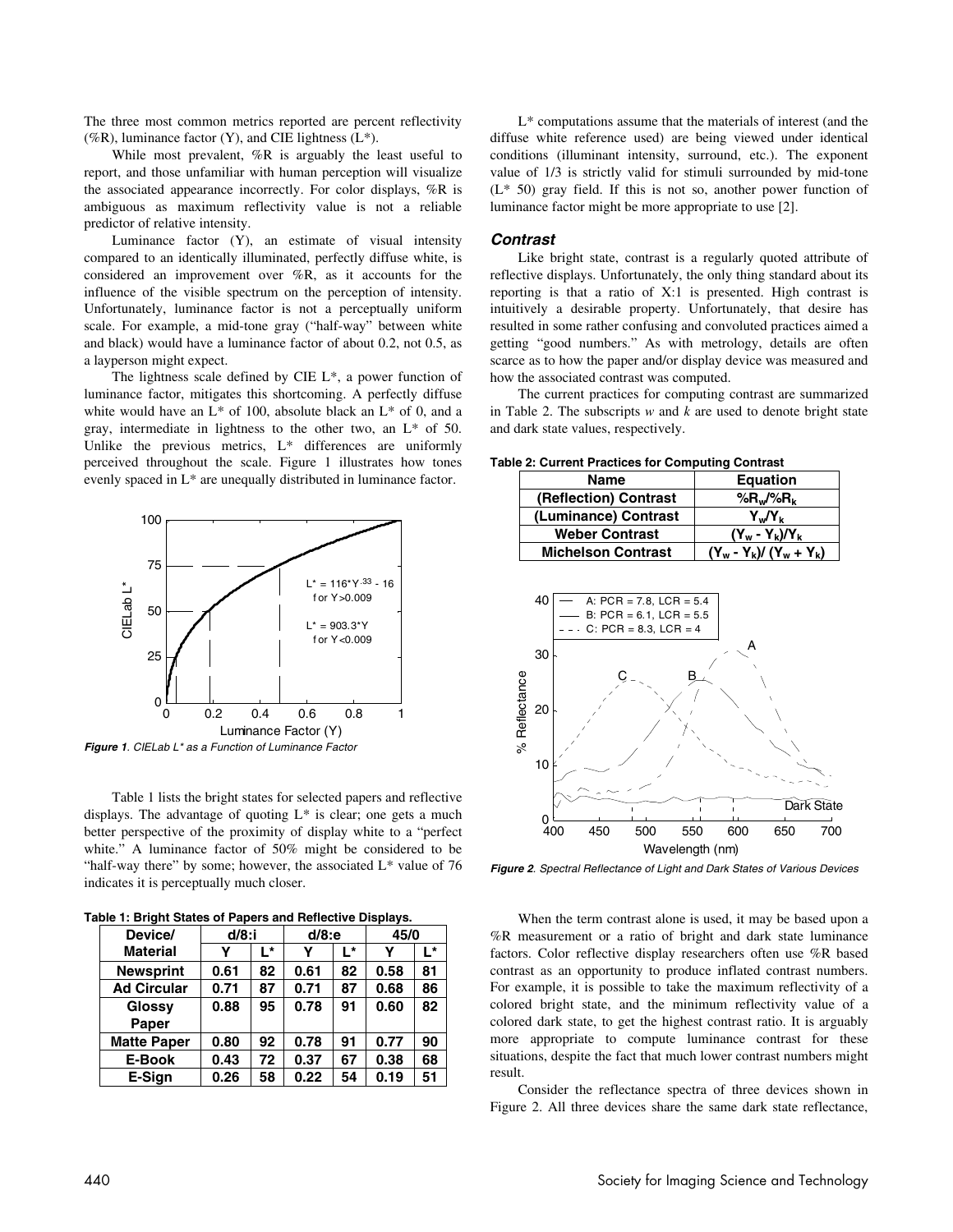The three most common metrics reported are percent reflectivity (%R), luminance factor  $(Y)$ , and CIE lightness  $(L^*)$ .

While most prevalent, %R is arguably the least useful to report, and those unfamiliar with human perception will visualize the associated appearance incorrectly. For color displays, %R is ambiguous as maximum reflectivity value is not a reliable predictor of relative intensity.

Luminance factor (Y), an estimate of visual intensity compared to an identically illuminated, perfectly diffuse white, is considered an improvement over %R, as it accounts for the influence of the visible spectrum on the perception of intensity. Unfortunately, luminance factor is not a perceptually uniform scale. For example, a mid-tone gray ("half-way" between white and black) would have a luminance factor of about 0.2, not 0.5, as a layperson might expect.

The lightness scale defined by CIE L\*, a power function of luminance factor, mitigates this shortcoming. A perfectly diffuse white would have an  $L^*$  of 100, absolute black an  $L^*$  of 0, and a gray, intermediate in lightness to the other two, an L\* of 50. Unlike the previous metrics, L\* differences are uniformly perceived throughout the scale. Figure 1 illustrates how tones evenly spaced in L\* are unequally distributed in luminance factor.



**Figure 1**. CIELab L\* as a Function of Luminance Factor

Table 1 lists the bright states for selected papers and reflective displays. The advantage of quoting  $L^*$  is clear; one gets a much better perspective of the proximity of display white to a "perfect white." A luminance factor of 50% might be considered to be "half-way there" by some; however, the associated  $L^*$  value of 76 indicates it is perceptually much closer.

**Table 1: Bright States of Papers and Reflective Displays.** 

| Device/            | $d/8$ :i |    | $d/8$ :e |    | 45/0 |    |
|--------------------|----------|----|----------|----|------|----|
| <b>Material</b>    | Y        | L* | Y        | Ŀ* | γ    | Ŀ* |
| <b>Newsprint</b>   | 0.61     | 82 | 0.61     | 82 | 0.58 | 81 |
| <b>Ad Circular</b> | 0.71     | 87 | 0.71     | 87 | 0.68 | 86 |
| Glossy             | 0.88     | 95 | 0.78     | 91 | 0.60 | 82 |
| Paper              |          |    |          |    |      |    |
| <b>Matte Paper</b> | 0.80     | 92 | 0.78     | 91 | 0.77 | 90 |
| E-Book             | 0.43     | 72 | 0.37     | 67 | 0.38 | 68 |
| E-Sian             | 0.26     | 58 | 0.22     | 54 | 0.19 | 51 |

L\* computations assume that the materials of interest (and the diffuse white reference used) are being viewed under identical conditions (illuminant intensity, surround, etc.). The exponent value of 1/3 is strictly valid for stimuli surrounded by mid-tone (L\* 50) gray field. If this is not so, another power function of luminance factor might be more appropriate to use [2].

### **Contrast**

Like bright state, contrast is a regularly quoted attribute of reflective displays. Unfortunately, the only thing standard about its reporting is that a ratio of X:1 is presented. High contrast is intuitively a desirable property. Unfortunately, that desire has resulted in some rather confusing and convoluted practices aimed a getting "good numbers." As with metrology, details are often scarce as to how the paper and/or display device was measured and how the associated contrast was computed.

The current practices for computing contrast are summarized in Table 2. The subscripts *w* and *k* are used to denote bright state and dark state values, respectively.

**Table 2: Current Practices for Computing Contrast** 

| <b>Equation</b>           |  |  |  |  |
|---------------------------|--|--|--|--|
| % $R_w$ /% $R_k$          |  |  |  |  |
| Y.,/Y,                    |  |  |  |  |
| $(Y_w - Y_k)/Y_k$         |  |  |  |  |
| $(Y_w - Y_k)/(Y_w + Y_k)$ |  |  |  |  |
|                           |  |  |  |  |



**Figure 2**. Spectral Reflectance of Light and Dark States of Various Devices

When the term contrast alone is used, it may be based upon a %R measurement or a ratio of bright and dark state luminance factors. Color reflective display researchers often use %R based contrast as an opportunity to produce inflated contrast numbers. For example, it is possible to take the maximum reflectivity of a colored bright state, and the minimum reflectivity value of a colored dark state, to get the highest contrast ratio. It is arguably more appropriate to compute luminance contrast for these situations, despite the fact that much lower contrast numbers might result.

Consider the reflectance spectra of three devices shown in Figure 2. All three devices share the same dark state reflectance,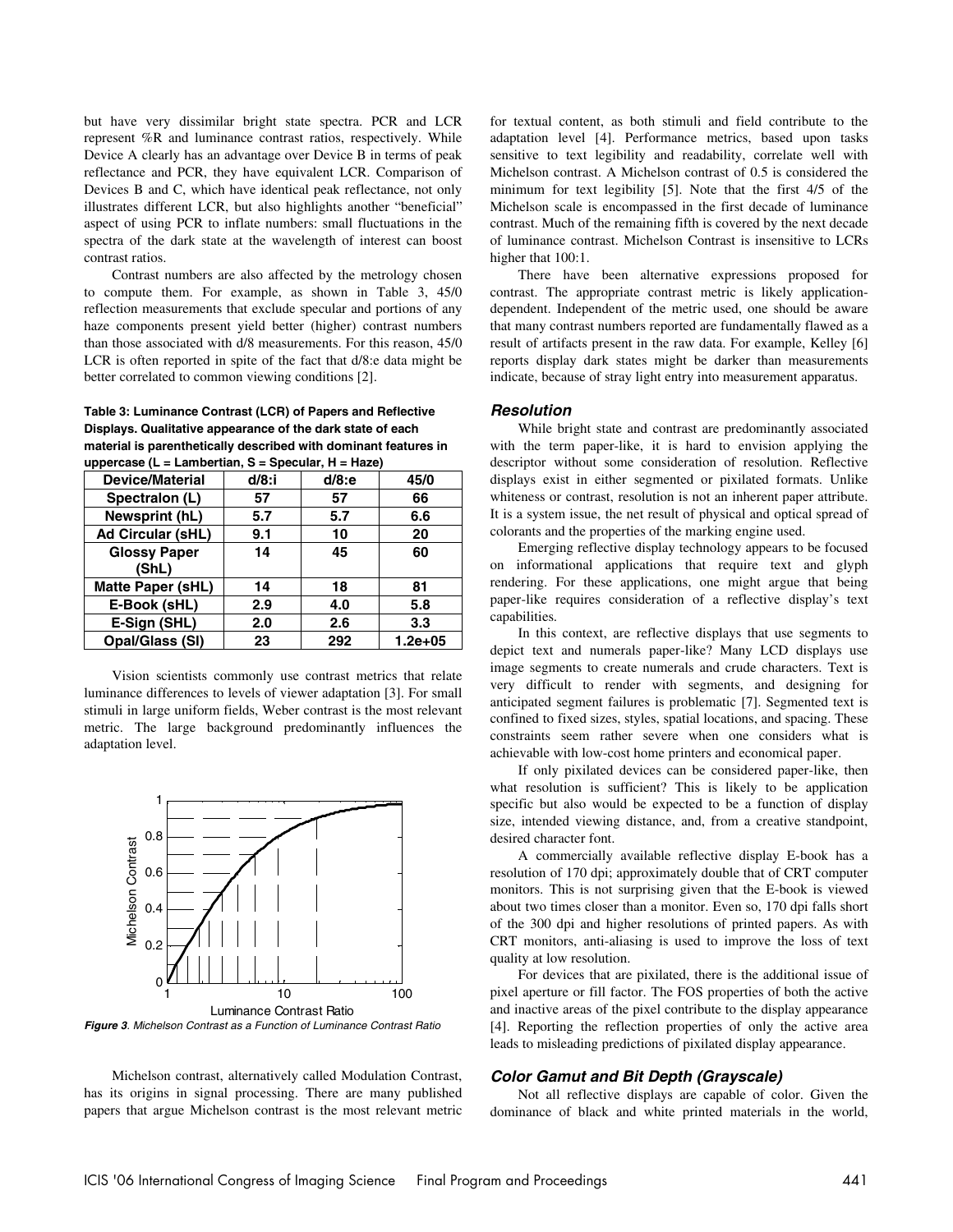but have very dissimilar bright state spectra. PCR and LCR represent %R and luminance contrast ratios, respectively. While Device A clearly has an advantage over Device B in terms of peak reflectance and PCR, they have equivalent LCR. Comparison of Devices B and C, which have identical peak reflectance, not only illustrates different LCR, but also highlights another "beneficial" aspect of using PCR to inflate numbers: small fluctuations in the spectra of the dark state at the wavelength of interest can boost contrast ratios.

Contrast numbers are also affected by the metrology chosen to compute them. For example, as shown in Table 3, 45/0 reflection measurements that exclude specular and portions of any haze components present yield better (higher) contrast numbers than those associated with d/8 measurements. For this reason, 45/0 LCR is often reported in spite of the fact that d/8:e data might be better correlated to common viewing conditions [2].

**Table 3: Luminance Contrast (LCR) of Papers and Reflective Displays. Qualitative appearance of the dark state of each material is parenthetically described with dominant features in uppercase (L = Lambertian, S = Specular, H = Haze)** 

| <b>Device/Material</b>   | $d/8$ :i | $d/8$ :e | 45/0    |
|--------------------------|----------|----------|---------|
| Spectralon (L)           | 57       | 57       | 66      |
| Newsprint (hL)           | 5.7      | 5.7      | 6.6     |
| <b>Ad Circular (sHL)</b> | 9.1      | 10       | 20      |
| <b>Glossy Paper</b>      | 14       | 45       | 60      |
| (ShL)                    |          |          |         |
| <b>Matte Paper (sHL)</b> | 14       | 18       | 81      |
| E-Book (sHL)             | 2.9      | 4.0      | 5.8     |
| E-Sign (SHL)             | 2.0      | 2.6      | 3.3     |
| <b>Opal/Glass (SI)</b>   | 23       | 292      | 1.2e+05 |

Vision scientists commonly use contrast metrics that relate luminance differences to levels of viewer adaptation [3]. For small stimuli in large uniform fields, Weber contrast is the most relevant metric. The large background predominantly influences the adaptation level.



**Figure 3**. Michelson Contrast as a Function of Luminance Contrast Ratio

Michelson contrast, alternatively called Modulation Contrast, has its origins in signal processing. There are many published papers that argue Michelson contrast is the most relevant metric for textual content, as both stimuli and field contribute to the adaptation level [4]. Performance metrics, based upon tasks sensitive to text legibility and readability, correlate well with Michelson contrast. A Michelson contrast of 0.5 is considered the minimum for text legibility [5]. Note that the first 4/5 of the Michelson scale is encompassed in the first decade of luminance contrast. Much of the remaining fifth is covered by the next decade of luminance contrast. Michelson Contrast is insensitive to LCRs higher that  $100:1$ .

There have been alternative expressions proposed for contrast. The appropriate contrast metric is likely applicationdependent. Independent of the metric used, one should be aware that many contrast numbers reported are fundamentally flawed as a result of artifacts present in the raw data. For example, Kelley [6] reports display dark states might be darker than measurements indicate, because of stray light entry into measurement apparatus.

## **Resolution**

While bright state and contrast are predominantly associated with the term paper-like, it is hard to envision applying the descriptor without some consideration of resolution. Reflective displays exist in either segmented or pixilated formats. Unlike whiteness or contrast, resolution is not an inherent paper attribute. It is a system issue, the net result of physical and optical spread of colorants and the properties of the marking engine used.

Emerging reflective display technology appears to be focused on informational applications that require text and glyph rendering. For these applications, one might argue that being paper-like requires consideration of a reflective display's text capabilities.

In this context, are reflective displays that use segments to depict text and numerals paper-like? Many LCD displays use image segments to create numerals and crude characters. Text is very difficult to render with segments, and designing for anticipated segment failures is problematic [7]. Segmented text is confined to fixed sizes, styles, spatial locations, and spacing. These constraints seem rather severe when one considers what is achievable with low-cost home printers and economical paper.

If only pixilated devices can be considered paper-like, then what resolution is sufficient? This is likely to be application specific but also would be expected to be a function of display size, intended viewing distance, and, from a creative standpoint, desired character font.

A commercially available reflective display E-book has a resolution of 170 dpi; approximately double that of CRT computer monitors. This is not surprising given that the E-book is viewed about two times closer than a monitor. Even so, 170 dpi falls short of the 300 dpi and higher resolutions of printed papers. As with CRT monitors, anti-aliasing is used to improve the loss of text quality at low resolution.

For devices that are pixilated, there is the additional issue of pixel aperture or fill factor. The FOS properties of both the active and inactive areas of the pixel contribute to the display appearance [4]. Reporting the reflection properties of only the active area leads to misleading predictions of pixilated display appearance.

## **Color Gamut and Bit Depth (Grayscale)**

Not all reflective displays are capable of color. Given the dominance of black and white printed materials in the world,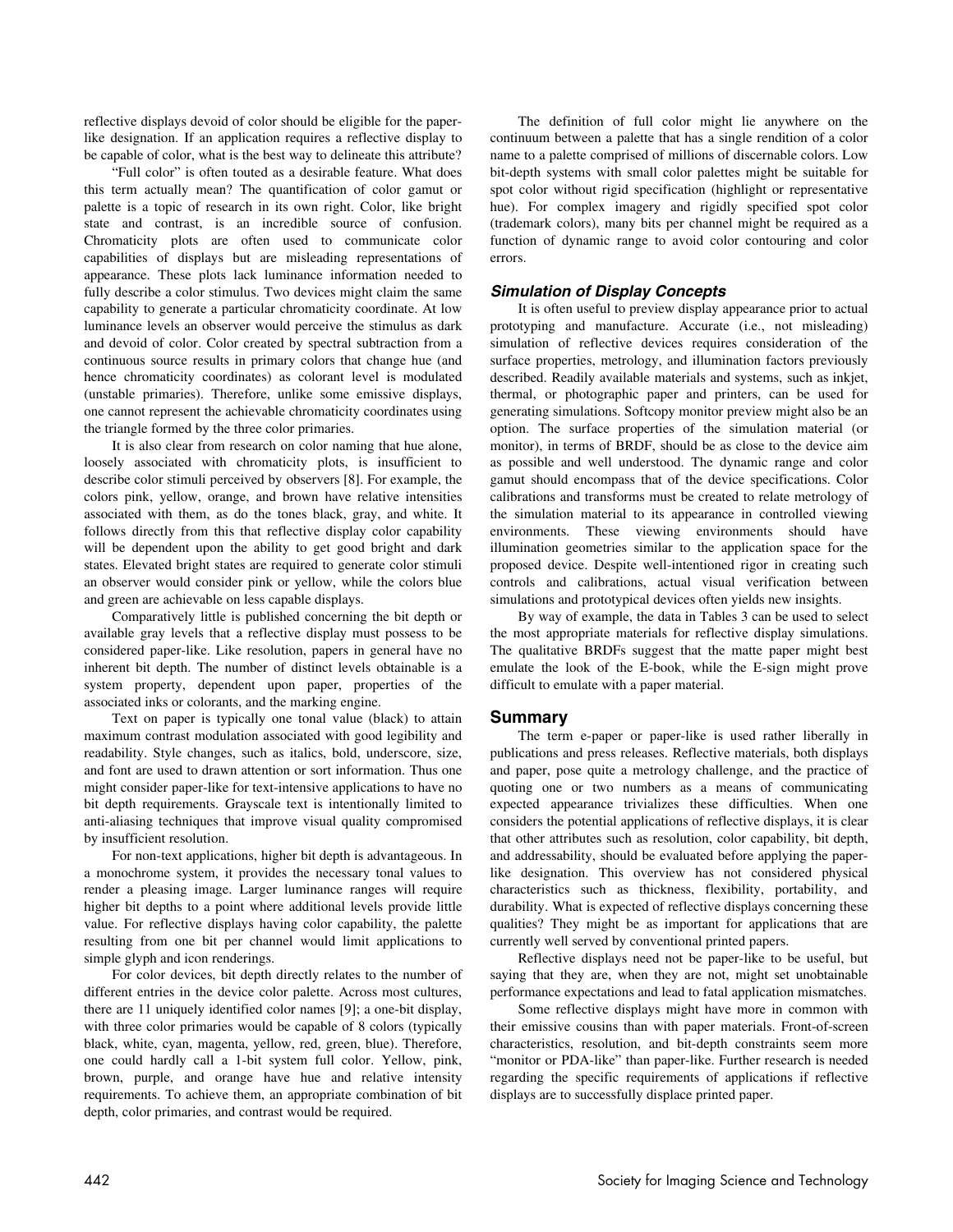reflective displays devoid of color should be eligible for the paperlike designation. If an application requires a reflective display to be capable of color, what is the best way to delineate this attribute?

"Full color" is often touted as a desirable feature. What does this term actually mean? The quantification of color gamut or palette is a topic of research in its own right. Color, like bright state and contrast, is an incredible source of confusion. Chromaticity plots are often used to communicate color capabilities of displays but are misleading representations of appearance. These plots lack luminance information needed to fully describe a color stimulus. Two devices might claim the same capability to generate a particular chromaticity coordinate. At low luminance levels an observer would perceive the stimulus as dark and devoid of color. Color created by spectral subtraction from a continuous source results in primary colors that change hue (and hence chromaticity coordinates) as colorant level is modulated (unstable primaries). Therefore, unlike some emissive displays, one cannot represent the achievable chromaticity coordinates using the triangle formed by the three color primaries.

It is also clear from research on color naming that hue alone, loosely associated with chromaticity plots, is insufficient to describe color stimuli perceived by observers [8]. For example, the colors pink, yellow, orange, and brown have relative intensities associated with them, as do the tones black, gray, and white. It follows directly from this that reflective display color capability will be dependent upon the ability to get good bright and dark states. Elevated bright states are required to generate color stimuli an observer would consider pink or yellow, while the colors blue and green are achievable on less capable displays.

Comparatively little is published concerning the bit depth or available gray levels that a reflective display must possess to be considered paper-like. Like resolution, papers in general have no inherent bit depth. The number of distinct levels obtainable is a system property, dependent upon paper, properties of the associated inks or colorants, and the marking engine.

Text on paper is typically one tonal value (black) to attain maximum contrast modulation associated with good legibility and readability. Style changes, such as italics, bold, underscore, size, and font are used to drawn attention or sort information. Thus one might consider paper-like for text-intensive applications to have no bit depth requirements. Grayscale text is intentionally limited to anti-aliasing techniques that improve visual quality compromised by insufficient resolution.

For non-text applications, higher bit depth is advantageous. In a monochrome system, it provides the necessary tonal values to render a pleasing image. Larger luminance ranges will require higher bit depths to a point where additional levels provide little value. For reflective displays having color capability, the palette resulting from one bit per channel would limit applications to simple glyph and icon renderings.

For color devices, bit depth directly relates to the number of different entries in the device color palette. Across most cultures, there are 11 uniquely identified color names [9]; a one-bit display, with three color primaries would be capable of 8 colors (typically black, white, cyan, magenta, yellow, red, green, blue). Therefore, one could hardly call a 1-bit system full color. Yellow, pink, brown, purple, and orange have hue and relative intensity requirements. To achieve them, an appropriate combination of bit depth, color primaries, and contrast would be required.

The definition of full color might lie anywhere on the continuum between a palette that has a single rendition of a color name to a palette comprised of millions of discernable colors. Low bit-depth systems with small color palettes might be suitable for spot color without rigid specification (highlight or representative hue). For complex imagery and rigidly specified spot color (trademark colors), many bits per channel might be required as a function of dynamic range to avoid color contouring and color errors.

## **Simulation of Display Concepts**

It is often useful to preview display appearance prior to actual prototyping and manufacture. Accurate (i.e., not misleading) simulation of reflective devices requires consideration of the surface properties, metrology, and illumination factors previously described. Readily available materials and systems, such as inkjet, thermal, or photographic paper and printers, can be used for generating simulations. Softcopy monitor preview might also be an option. The surface properties of the simulation material (or monitor), in terms of BRDF, should be as close to the device aim as possible and well understood. The dynamic range and color gamut should encompass that of the device specifications. Color calibrations and transforms must be created to relate metrology of the simulation material to its appearance in controlled viewing environments. These viewing environments should have illumination geometries similar to the application space for the proposed device. Despite well-intentioned rigor in creating such controls and calibrations, actual visual verification between simulations and prototypical devices often yields new insights.

By way of example, the data in Tables 3 can be used to select the most appropriate materials for reflective display simulations. The qualitative BRDFs suggest that the matte paper might best emulate the look of the E-book, while the E-sign might prove difficult to emulate with a paper material.

#### **Summary**

The term e-paper or paper-like is used rather liberally in publications and press releases. Reflective materials, both displays and paper, pose quite a metrology challenge, and the practice of quoting one or two numbers as a means of communicating expected appearance trivializes these difficulties. When one considers the potential applications of reflective displays, it is clear that other attributes such as resolution, color capability, bit depth, and addressability, should be evaluated before applying the paperlike designation. This overview has not considered physical characteristics such as thickness, flexibility, portability, and durability. What is expected of reflective displays concerning these qualities? They might be as important for applications that are currently well served by conventional printed papers.

Reflective displays need not be paper-like to be useful, but saying that they are, when they are not, might set unobtainable performance expectations and lead to fatal application mismatches.

Some reflective displays might have more in common with their emissive cousins than with paper materials. Front-of-screen characteristics, resolution, and bit-depth constraints seem more "monitor or PDA-like" than paper-like. Further research is needed regarding the specific requirements of applications if reflective displays are to successfully displace printed paper.